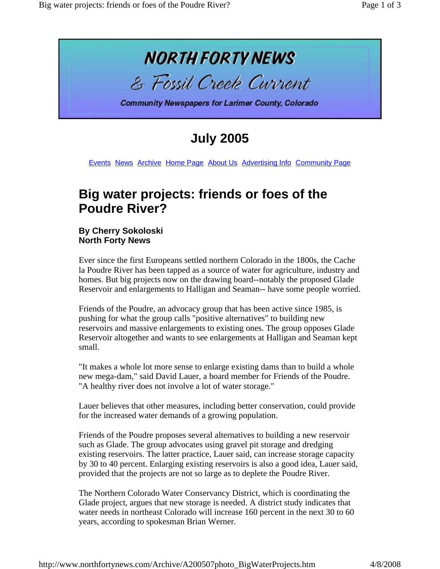

**July 2005**

Events News Archive Home Page About Us Advertising Info Community Page

## **Big water projects: friends or foes of the Poudre River?**

**By Cherry Sokoloski North Forty News**

Ever since the first Europeans settled northern Colorado in the 1800s, the Cache la Poudre River has been tapped as a source of water for agriculture, industry and homes. But big projects now on the drawing board--notably the proposed Glade Reservoir and enlargements to Halligan and Seaman-- have some people worried.

Friends of the Poudre, an advocacy group that has been active since 1985, is pushing for what the group calls "positive alternatives" to building new reservoirs and massive enlargements to existing ones. The group opposes Glade Reservoir altogether and wants to see enlargements at Halligan and Seaman kept small.

"It makes a whole lot more sense to enlarge existing dams than to build a whole new mega-dam," said David Lauer, a board member for Friends of the Poudre. "A healthy river does not involve a lot of water storage."

Lauer believes that other measures, including better conservation, could provide for the increased water demands of a growing population.

Friends of the Poudre proposes several alternatives to building a new reservoir such as Glade. The group advocates using gravel pit storage and dredging existing reservoirs. The latter practice, Lauer said, can increase storage capacity by 30 to 40 percent. Enlarging existing reservoirs is also a good idea, Lauer said, provided that the projects are not so large as to deplete the Poudre River.

The Northern Colorado Water Conservancy District, which is coordinating the Glade project, argues that new storage is needed. A district study indicates that water needs in northeast Colorado will increase 160 percent in the next 30 to 60 years, according to spokesman Brian Werner.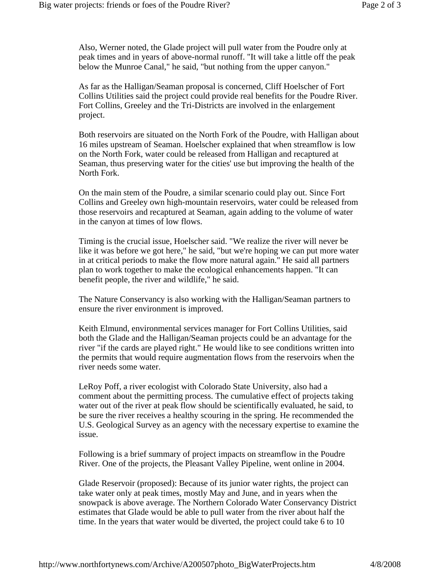Also, Werner noted, the Glade project will pull water from the Poudre only at peak times and in years of above-normal runoff. "It will take a little off the peak below the Munroe Canal," he said, "but nothing from the upper canyon."

As far as the Halligan/Seaman proposal is concerned, Cliff Hoelscher of Fort Collins Utilities said the project could provide real benefits for the Poudre River. Fort Collins, Greeley and the Tri-Districts are involved in the enlargement project.

Both reservoirs are situated on the North Fork of the Poudre, with Halligan about 16 miles upstream of Seaman. Hoelscher explained that when streamflow is low on the North Fork, water could be released from Halligan and recaptured at Seaman, thus preserving water for the cities' use but improving the health of the North Fork.

On the main stem of the Poudre, a similar scenario could play out. Since Fort Collins and Greeley own high-mountain reservoirs, water could be released from those reservoirs and recaptured at Seaman, again adding to the volume of water in the canyon at times of low flows.

Timing is the crucial issue, Hoelscher said. "We realize the river will never be like it was before we got here," he said, "but we're hoping we can put more water in at critical periods to make the flow more natural again." He said all partners plan to work together to make the ecological enhancements happen. "It can benefit people, the river and wildlife," he said.

The Nature Conservancy is also working with the Halligan/Seaman partners to ensure the river environment is improved.

Keith Elmund, environmental services manager for Fort Collins Utilities, said both the Glade and the Halligan/Seaman projects could be an advantage for the river "if the cards are played right." He would like to see conditions written into the permits that would require augmentation flows from the reservoirs when the river needs some water.

LeRoy Poff, a river ecologist with Colorado State University, also had a comment about the permitting process. The cumulative effect of projects taking water out of the river at peak flow should be scientifically evaluated, he said, to be sure the river receives a healthy scouring in the spring. He recommended the U.S. Geological Survey as an agency with the necessary expertise to examine the issue.

Following is a brief summary of project impacts on streamflow in the Poudre River. One of the projects, the Pleasant Valley Pipeline, went online in 2004.

Glade Reservoir (proposed): Because of its junior water rights, the project can take water only at peak times, mostly May and June, and in years when the snowpack is above average. The Northern Colorado Water Conservancy District estimates that Glade would be able to pull water from the river about half the time. In the years that water would be diverted, the project could take 6 to 10